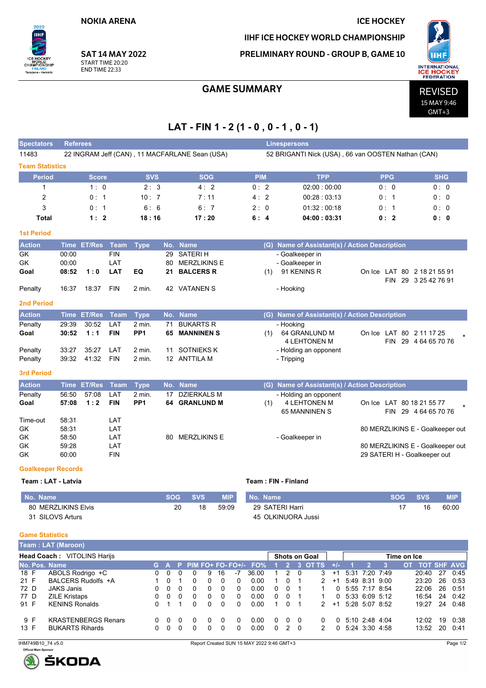**NOKIA ARENA** 

**SAT 14 MAY 2022** 

22 INGRAM Jeff (CAN), 11 MACFARLANE Sean (USA)

START TIME 20:20

**END TIME 22:33** 

 $2022$ 

Tampere - Helsinki

,<br>SHIP

Spectators Referees

CHAN

11483

**Team Statistics** 

#### **ICE HOCKEY**

52 BRIGANTI Nick (USA), 66 van OOSTEN Nathan (CAN)

IIHF ICE HOCKEY WORLD CHAMPIONSHIP

PRELIMINARY ROUND - GROUP B, GAME 10



15 MAY 9:46  $GMT+3$ 

## **GAME SUMMARY**

# LAT - FIN 1 - 2 (1 - 0, 0 - 1, 0 - 1)

Linespersons

| <b>Period</b>                           |                       | Score                      |             | <b>SVS</b>      |            |                                       | <b>SOG</b> |                                           | <b>PIM</b>   |                     |                |                                               | <b>TPP</b>        |           |    |                                  | <b>PPG</b>     |             |                                  | <b>SHG</b> |              |
|-----------------------------------------|-----------------------|----------------------------|-------------|-----------------|------------|---------------------------------------|------------|-------------------------------------------|--------------|---------------------|----------------|-----------------------------------------------|-------------------|-----------|----|----------------------------------|----------------|-------------|----------------------------------|------------|--------------|
| 1                                       |                       | 1:0                        |             | 2:3             |            |                                       | 4:2        |                                           | 0:2          |                     |                |                                               | 02:00:00:00       |           |    |                                  | 0:0            |             |                                  | 0:0        |              |
| 2                                       |                       | 0:1                        |             | 10:7            |            |                                       | 7:11       |                                           | 4:2          |                     |                |                                               | 00:28 : 03:13     |           |    |                                  | 0:1            |             |                                  | 0:0        |              |
| 3                                       |                       | 0:1                        |             | 6:6             |            |                                       | 6:7        |                                           | 2:0          |                     |                |                                               | 01:32:00:18       |           |    |                                  | 0:1            |             |                                  | 0:0        |              |
| Total                                   |                       | 1:2                        |             | 18:16           |            |                                       | 17:20      |                                           | 6:4          |                     |                |                                               | 04:00:03:31       |           |    |                                  | 0:2            |             |                                  | 0: 0       |              |
| <b>1st Period</b>                       |                       |                            |             |                 |            |                                       |            |                                           |              |                     |                |                                               |                   |           |    |                                  |                |             |                                  |            |              |
| <b>Action</b>                           |                       | Time ET/Res Team           |             |                 |            | No. Name                              |            |                                           |              |                     |                | (G) Name of Assistant(s) / Action Description |                   |           |    |                                  |                |             |                                  |            |              |
| GK                                      | 00:00                 |                            | <b>FIN</b>  | <b>Type</b>     | 29         | <b>SATERIH</b>                        |            |                                           |              |                     |                | - Goalkeeper in                               |                   |           |    |                                  |                |             |                                  |            |              |
| GK                                      | 00:00                 |                            | LAT         |                 | 80         | <b>MERZLIKINS E</b>                   |            |                                           |              |                     |                | - Goalkeeper in                               |                   |           |    |                                  |                |             |                                  |            |              |
| Goal                                    | 08:52                 | 1:0                        | <b>LAT</b>  | EQ              | 21         | <b>BALCERS R</b>                      |            |                                           |              | (1)                 |                | 91 KENINS R                                   |                   |           |    |                                  |                |             | On Ice LAT 80 2 18 21 55 91      |            |              |
| Penalty                                 | 16:37                 | 18:37                      | <b>FIN</b>  | 2 min.          |            | 42 VATANEN S                          |            |                                           |              |                     | - Hooking      |                                               |                   |           |    |                                  |                |             | FIN 29 3 25 42 76 91             |            |              |
| <b>2nd Period</b>                       |                       |                            |             |                 |            |                                       |            |                                           |              |                     |                |                                               |                   |           |    |                                  |                |             |                                  |            |              |
| <b>Action</b>                           |                       | <b>Time ET/Res</b>         | <b>Team</b> | <b>Type</b>     |            | No. Name                              |            |                                           |              |                     |                | (G) Name of Assistant(s) / Action Description |                   |           |    |                                  |                |             |                                  |            |              |
| Penalty                                 | 29:39                 | 30:52                      | LAT         | 2 min.          | 71         | <b>BUKARTS R</b>                      |            |                                           |              |                     | - Hooking      |                                               |                   |           |    |                                  |                |             |                                  |            |              |
| Goal                                    | 30:52                 | 1:1                        | <b>FIN</b>  | PP <sub>1</sub> | 65         | <b>MANNINEN S</b>                     |            |                                           |              | (1)                 |                | 64 GRANLUND M                                 |                   |           |    |                                  |                |             | On Ice LAT 80 2 11 17 25         |            |              |
| Penalty                                 | 33:27                 | 35:27                      | LAT         | 2 min.          | 11         | <b>SOTNIEKS K</b>                     |            |                                           |              |                     |                | <b>4 LEHTONEN M</b><br>- Holding an opponent  |                   |           |    |                                  |                |             | FIN 29 4 64 65 70 76             |            |              |
| Penalty                                 | 39:32                 | 41:32                      | <b>FIN</b>  | 2 min.          |            | 12 ANTTILA M                          |            |                                           |              |                     | - Tripping     |                                               |                   |           |    |                                  |                |             |                                  |            |              |
| <b>3rd Period</b>                       |                       |                            |             |                 |            |                                       |            |                                           |              |                     |                |                                               |                   |           |    |                                  |                |             |                                  |            |              |
| <b>Action</b>                           |                       | Time ET/Res                | Team        | <b>Type</b>     |            | No. Name                              |            |                                           |              |                     |                | (G) Name of Assistant(s) / Action Description |                   |           |    |                                  |                |             |                                  |            |              |
| Penalty                                 | 56:50                 | 57:08                      | LAT         | 2 min.          | 17         | <b>DZIERKALS M</b>                    |            |                                           |              |                     |                | - Holding an opponent                         |                   |           |    |                                  |                |             |                                  |            |              |
| Goal                                    | 57:08                 | 1:2                        | <b>FIN</b>  | PP <sub>1</sub> |            | 64 GRANLUND M                         |            |                                           |              | (1)                 |                | <b>4 LEHTONEN M</b>                           |                   |           |    |                                  |                |             | On Ice LAT 80 18 21 55 77        |            |              |
|                                         |                       |                            |             |                 |            |                                       |            |                                           |              |                     |                | 65 MANNINEN S                                 |                   |           |    |                                  |                |             | FIN 29 4 64 65 70 76             |            |              |
| Time-out                                | 58:31                 |                            | LAT         |                 |            |                                       |            |                                           |              |                     |                |                                               |                   |           |    |                                  |                |             |                                  |            |              |
| GK<br>GK                                | 58:31<br>58:50        |                            | LAT<br>LAT  |                 | 80         | <b>MERZLIKINS E</b>                   |            |                                           |              |                     |                | - Goalkeeper in                               |                   |           |    |                                  |                |             | 80 MERZLIKINS E - Goalkeeper out |            |              |
| GK                                      | 59:28                 |                            | LAT         |                 |            |                                       |            |                                           |              |                     |                |                                               |                   |           |    |                                  |                |             | 80 MERZLIKINS E - Goalkeeper out |            |              |
| GK                                      | 60:00                 |                            | <b>FIN</b>  |                 |            |                                       |            |                                           |              |                     |                |                                               |                   |           |    |                                  |                |             | 29 SATERI H - Goalkeeper out     |            |              |
| <b>Goalkeeper Records</b>               |                       |                            |             |                 |            |                                       |            |                                           |              |                     |                |                                               |                   |           |    |                                  |                |             |                                  |            |              |
| Team: LAT - Latvia                      |                       |                            |             |                 |            |                                       |            |                                           |              | Team: FIN - Finland |                |                                               |                   |           |    |                                  |                |             |                                  |            |              |
|                                         |                       |                            |             |                 |            |                                       |            |                                           |              |                     |                |                                               |                   |           |    |                                  |                |             |                                  |            |              |
| No. Name                                |                       |                            |             |                 | <b>SOG</b> | <b>SVS</b>                            |            | <b>MIP</b>                                |              | No. Name            |                |                                               |                   |           |    |                                  |                | <b>SOG</b>  | <b>SVS</b>                       |            | <b>MIP</b>   |
| 80 MERZLIKINS Elvis<br>31 SILOVS Arturs |                       |                            |             |                 |            | 20                                    | 18         | 59:09                                     |              | 29 SATERI Harri     |                | 45 OLKINUORA Jussi                            |                   |           |    |                                  |                | 17          | 16                               |            | 60:00        |
|                                         |                       |                            |             |                 |            |                                       |            |                                           |              |                     |                |                                               |                   |           |    |                                  |                |             |                                  |            |              |
| <b>Game Statistics</b>                  |                       |                            |             |                 |            |                                       |            |                                           |              |                     |                |                                               |                   |           |    |                                  |                |             |                                  |            |              |
| <b>Team: LAT (Maroon)</b>               |                       |                            |             |                 |            |                                       |            |                                           |              |                     |                |                                               |                   |           |    |                                  |                |             |                                  |            |              |
| Head Coach: VITOLINS Harijs             |                       |                            |             |                 |            |                                       |            |                                           |              |                     |                | <b>Shots on Goal</b>                          |                   |           |    |                                  |                | Time on Ice |                                  |            |              |
| No. Pos. Name                           |                       |                            |             | G.              | A          | P.                                    |            | PIM FO+ FO- FO+/- FO%                     |              | $\blacksquare$      |                | $2$ 3 OT TS $+/-$                             |                   |           | -1 | $\overline{2}$                   | 3 <sup>2</sup> |             | OT TOT SHF AVG                   |            |              |
| $18$ F                                  |                       | ABOLS Rodrigo +C           |             | 0               | 0          | 0<br>0                                | 9          | 16<br>-7                                  | 36.00        | 1                   | $\overline{c}$ | 0                                             | 3                 | $+1$      |    | 5:31 7:20 7:49                   |                |             | 20:40                            | 27         | 0.45         |
| 21 F<br>72 D                            | <b>JAKS Janis</b>     | BALCERS Rudolfs +A         |             | 1<br>0          | 0<br>0     | $\mathbf{1}$<br>0<br>$\mathbf 0$<br>0 | 0<br>0     | 0<br>0<br>0<br>0                          | 0.00<br>0.00 | $\mathbf{1}$<br>0   | 0<br>0         | 1<br>1                                        | 2<br>$\mathbf{1}$ | $+1$<br>0 |    | 5:49 8:31 9:00<br>5:55 7:17 8:54 |                |             | 23:20<br>22:06                   | 26<br>26   | 0:53<br>0:51 |
| 77 D                                    | <b>ZILE Kristaps</b>  |                            |             | 0               | 0          | 0<br>0                                | 0          | 0<br>0                                    | 0.00         | 0                   | 0              | 1                                             | $\mathbf{1}$      | 0         |    | 5:33 6:09 5:12                   |                |             | 16:54                            | 24         | 0:42         |
| 91 F                                    | <b>KENINS Ronalds</b> |                            |             | 0               | 1          | 0<br>$\mathbf 1$                      | 0          | 0<br>0                                    | 0.00         | $\mathbf{1}$        | 0              | $\mathbf{1}$                                  | 2                 | $+1$      |    | 5:28 5:07 8:52                   |                |             | 19:27 24                         |            | 0:48         |
| 9 F                                     |                       | <b>KRASTENBERGS Renars</b> |             | 0               | 0          | 0<br>0                                | 0          | 0<br>0                                    | 0.00         | 0                   | 0              | 0                                             | 0                 | 0         |    | 5:10 2:48 4:04                   |                |             | 12:02                            | 19         | 0:38         |
| 13 F                                    |                       | <b>BUKARTS Rihards</b>     |             | 0               | 0          | 0<br>0                                | 0          | $\mathbf 0$<br>0                          | 0.00         | 0                   | $\overline{2}$ | 0                                             | 2                 | 0         |    | 5:24 3:30 4:58                   |                |             | 13:52                            | 20         | 0:41         |
| IHM749B10 74 v5.0                       |                       |                            |             |                 |            |                                       |            | Report Created SUN 15 MAY 2022 9:46 GMT+3 |              |                     |                |                                               |                   |           |    |                                  |                |             |                                  |            | Page 1/2     |